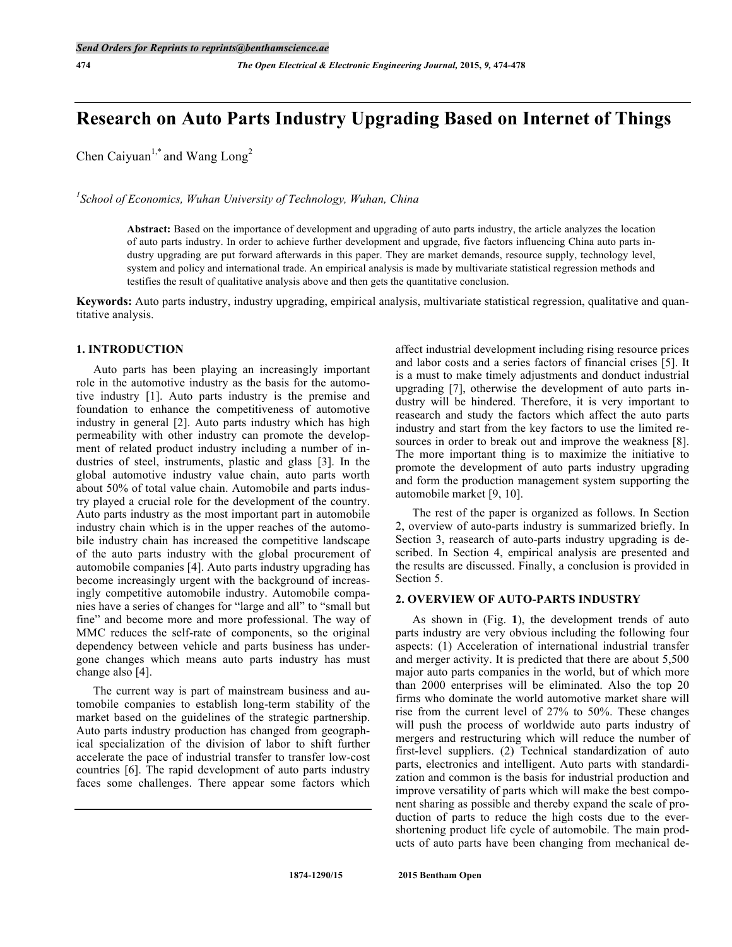# **Research on Auto Parts Industry Upgrading Based on Internet of Things**

Chen Caiyuan<sup>1,\*</sup> and Wang Long<sup>2</sup>

*1 School of Economics, Wuhan University of Technology, Wuhan, China*

**Abstract:** Based on the importance of development and upgrading of auto parts industry, the article analyzes the location of auto parts industry. In order to achieve further development and upgrade, five factors influencing China auto parts industry upgrading are put forward afterwards in this paper. They are market demands, resource supply, technology level, system and policy and international trade. An empirical analysis is made by multivariate statistical regression methods and testifies the result of qualitative analysis above and then gets the quantitative conclusion.

**Keywords:** Auto parts industry, industry upgrading, empirical analysis, multivariate statistical regression, qualitative and quantitative analysis.

# **1. INTRODUCTION**

Auto parts has been playing an increasingly important role in the automotive industry as the basis for the automotive industry [1]. Auto parts industry is the premise and foundation to enhance the competitiveness of automotive industry in general [2]. Auto parts industry which has high permeability with other industry can promote the development of related product industry including a number of industries of steel, instruments, plastic and glass [3]. In the global automotive industry value chain, auto parts worth about 50% of total value chain. Automobile and parts industry played a crucial role for the development of the country. Auto parts industry as the most important part in automobile industry chain which is in the upper reaches of the automobile industry chain has increased the competitive landscape of the auto parts industry with the global procurement of automobile companies [4]. Auto parts industry upgrading has become increasingly urgent with the background of increasingly competitive automobile industry. Automobile companies have a series of changes for "large and all" to "small but fine" and become more and more professional. The way of MMC reduces the self-rate of components, so the original dependency between vehicle and parts business has undergone changes which means auto parts industry has must change also [4].

The current way is part of mainstream business and automobile companies to establish long-term stability of the market based on the guidelines of the strategic partnership. Auto parts industry production has changed from geographical specialization of the division of labor to shift further accelerate the pace of industrial transfer to transfer low-cost countries [6]. The rapid development of auto parts industry faces some challenges. There appear some factors which affect industrial development including rising resource prices and labor costs and a series factors of financial crises [5]. It is a must to make timely adjustments and donduct industrial upgrading [7], otherwise the development of auto parts industry will be hindered. Therefore, it is very important to reasearch and study the factors which affect the auto parts industry and start from the key factors to use the limited resources in order to break out and improve the weakness [8]. The more important thing is to maximize the initiative to promote the development of auto parts industry upgrading and form the production management system supporting the automobile market [9, 10].

The rest of the paper is organized as follows. In Section 2, overview of auto-parts industry is summarized briefly. In Section 3, reasearch of auto-parts industry upgrading is described. In Section 4, empirical analysis are presented and the results are discussed. Finally, a conclusion is provided in Section 5.

#### **2. OVERVIEW OF AUTO-PARTS INDUSTRY**

As shown in (Fig. **1**), the development trends of auto parts industry are very obvious including the following four aspects: (1) Acceleration of international industrial transfer and merger activity. It is predicted that there are about 5,500 major auto parts companies in the world, but of which more than 2000 enterprises will be eliminated. Also the top 20 firms who dominate the world automotive market share will rise from the current level of 27% to 50%. These changes will push the process of worldwide auto parts industry of mergers and restructuring which will reduce the number of first-level suppliers. (2) Technical standardization of auto parts, electronics and intelligent. Auto parts with standardization and common is the basis for industrial production and improve versatility of parts which will make the best component sharing as possible and thereby expand the scale of production of parts to reduce the high costs due to the evershortening product life cycle of automobile. The main products of auto parts have been changing from mechanical de-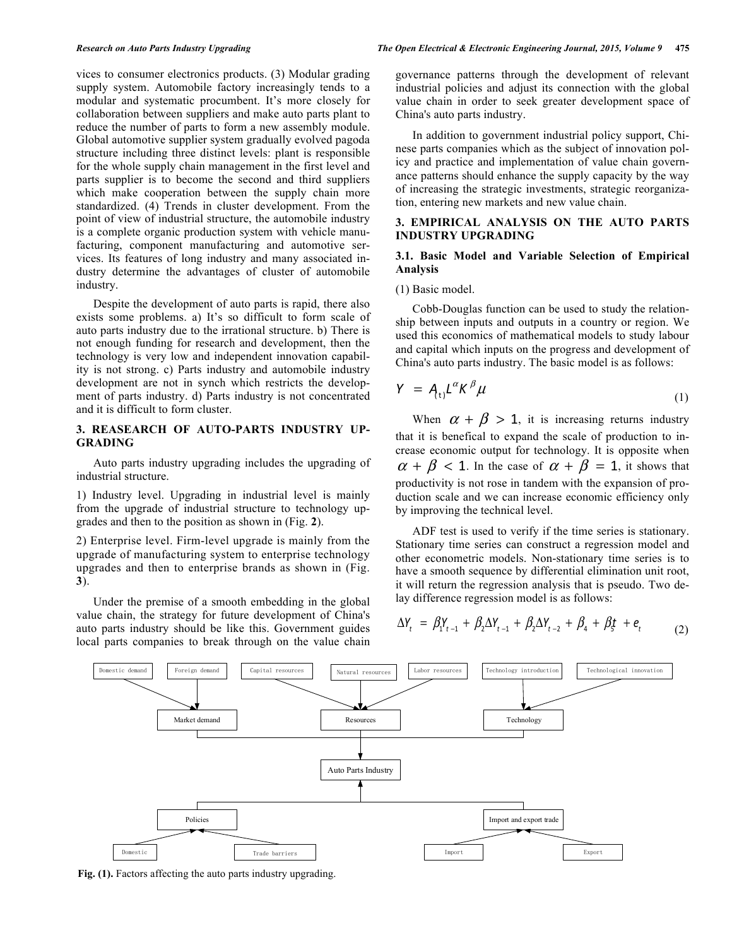vices to consumer electronics products. (3) Modular grading supply system. Automobile factory increasingly tends to a modular and systematic procumbent. It's more closely for collaboration between suppliers and make auto parts plant to reduce the number of parts to form a new assembly module. Global automotive supplier system gradually evolved pagoda structure including three distinct levels: plant is responsible for the whole supply chain management in the first level and parts supplier is to become the second and third suppliers which make cooperation between the supply chain more standardized. (4) Trends in cluster development. From the point of view of industrial structure, the automobile industry is a complete organic production system with vehicle manufacturing, component manufacturing and automotive services. Its features of long industry and many associated industry determine the advantages of cluster of automobile industry.

Despite the development of auto parts is rapid, there also exists some problems. a) It's so difficult to form scale of auto parts industry due to the irrational structure. b) There is not enough funding for research and development, then the technology is very low and independent innovation capability is not strong. c) Parts industry and automobile industry development are not in synch which restricts the development of parts industry. d) Parts industry is not concentrated and it is difficult to form cluster.

# **3. REASEARCH OF AUTO-PARTS INDUSTRY UP-GRADING**

Auto parts industry upgrading includes the upgrading of industrial structure.

1) Industry level. Upgrading in industrial level is mainly from the upgrade of industrial structure to technology upgrades and then to the position as shown in (Fig. **2**).

2) Enterprise level. Firm-level upgrade is mainly from the upgrade of manufacturing system to enterprise technology upgrades and then to enterprise brands as shown in (Fig. **3**).

Under the premise of a smooth embedding in the global value chain, the strategy for future development of China's auto parts industry should be like this. Government guides local parts companies to break through on the value chain governance patterns through the development of relevant industrial policies and adjust its connection with the global value chain in order to seek greater development space of China's auto parts industry.

In addition to government industrial policy support, Chinese parts companies which as the subject of innovation policy and practice and implementation of value chain governance patterns should enhance the supply capacity by the way of increasing the strategic investments, strategic reorganization, entering new markets and new value chain.

# **3. EMPIRICAL ANALYSIS ON THE AUTO PARTS INDUSTRY UPGRADING**

# **3.1. Basic Model and Variable Selection of Empirical Analysis**

#### (1) Basic model.

Cobb-Douglas function can be used to study the relationship between inputs and outputs in a country or region. We used this economics of mathematical models to study labour and capital which inputs on the progress and development of China's auto parts industry. The basic model is as follows:

$$
Y = A_{t} L^{\alpha} K^{\beta} \mu \tag{1}
$$

When  $\alpha + \beta > 1$ , it is increasing returns industry that it is benefical to expand the scale of production to increase economic output for technology. It is opposite when  $\alpha + \beta < 1$ . In the case of  $\alpha + \beta = 1$ , it shows that productivity is not rose in tandem with the expansion of production scale and we can increase economic efficiency only by improving the technical level.

ADF test is used to verify if the time series is stationary. Stationary time series can construct a regression model and other econometric models. Non-stationary time series is to have a smooth sequence by differential elimination unit root, it will return the regression analysis that is pseudo. Two delay difference regression model is as follows:

$$
\Delta Y_t = \beta_1 Y_{t-1} + \beta_2 \Delta Y_{t-1} + \beta_2 \Delta Y_{t-2} + \beta_4 + \beta_5 + e_t \tag{2}
$$



**Fig. (1).** Factors affecting the auto parts industry upgrading.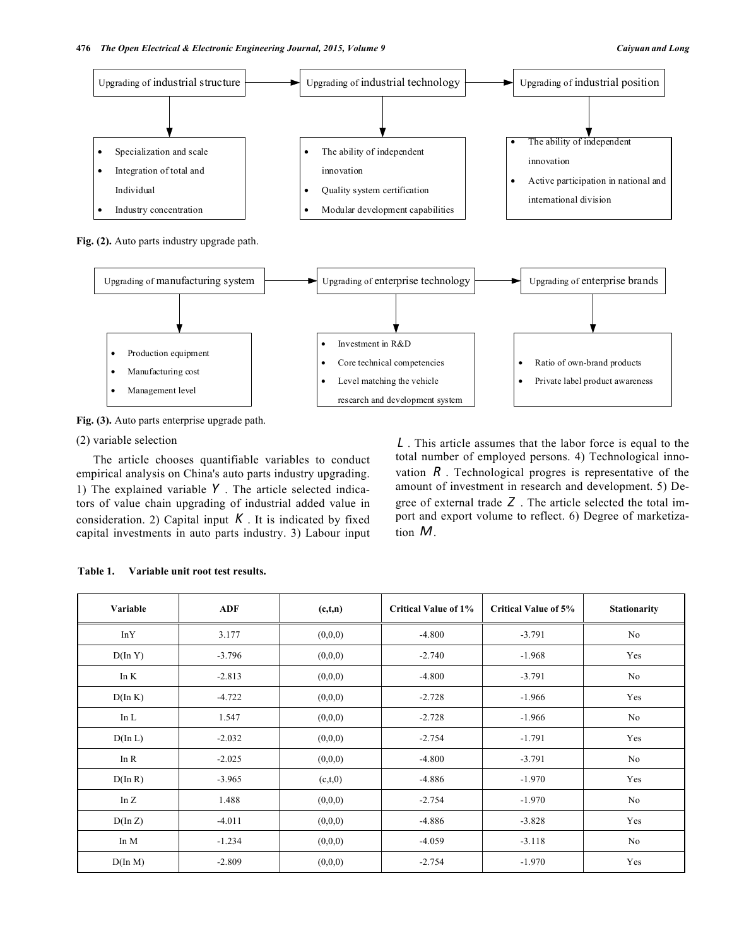

Level matching the vehicle research and development system

**Fig. (3).** Auto parts enterprise upgrade path.

Management level

# (2) variable selection

The article chooses quantifiable variables to conduct empirical analysis on China's auto parts industry upgrading. 1) The explained variable *Y* . The article selected indicators of value chain upgrading of industrial added value in consideration. 2) Capital input  $K$ . It is indicated by fixed capital investments in auto parts industry. 3) Labour input

*L* . This article assumes that the labor force is equal to the total number of employed persons. 4) Technological innovation *R* . Technological progres is representative of the amount of investment in research and development. 5) Degree of external trade *Z* . The article selected the total import and export volume to reflect. 6) Degree of marketization *M*.

• Private label product awareness

| Variable         | <b>ADF</b> | (c,t,n) | <b>Critical Value of 1%</b> | <b>Critical Value of 5%</b> | Stationarity |
|------------------|------------|---------|-----------------------------|-----------------------------|--------------|
| InY              | 3.177      | (0,0,0) | $-4.800$                    | $-3.791$                    | No           |
| $D(\ln Y)$       | $-3.796$   | (0,0,0) | $-2.740$                    | $-1.968$                    | Yes          |
| In $K$           | $-2.813$   | (0,0,0) | $-4.800$                    | $-3.791$                    | No           |
| $D(\ln K)$       | $-4.722$   | (0,0,0) | $-2.728$                    | $-1.966$                    | Yes          |
| In $L$           | 1.547      | (0,0,0) | $-2.728$                    | $-1.966$                    | No           |
| $D(\ln L)$       | $-2.032$   | (0,0,0) | $-2.754$                    | $-1.791$                    | Yes          |
| In $R$           | $-2.025$   | (0,0,0) | $-4.800$                    | $-3.791$                    | No           |
| $D(\ln R)$       | $-3.965$   | (c,t,0) | $-4.886$                    | $-1.970$                    | Yes          |
| In $Z$           | 1.488      | (0,0,0) | $-2.754$                    | $-1.970$                    | No           |
| $D(\ln Z)$       | $-4.011$   | (0,0,0) | $-4.886$                    | $-3.828$                    | Yes          |
| In M             | $-1.234$   | (0,0,0) | $-4.059$                    | $-3.118$                    | No           |
| $D(\text{In }M)$ | $-2.809$   | (0,0,0) | $-2.754$                    | $-1.970$                    | Yes          |

| Variable unit root test results. | Table 1. |  |  |  |  |
|----------------------------------|----------|--|--|--|--|
|----------------------------------|----------|--|--|--|--|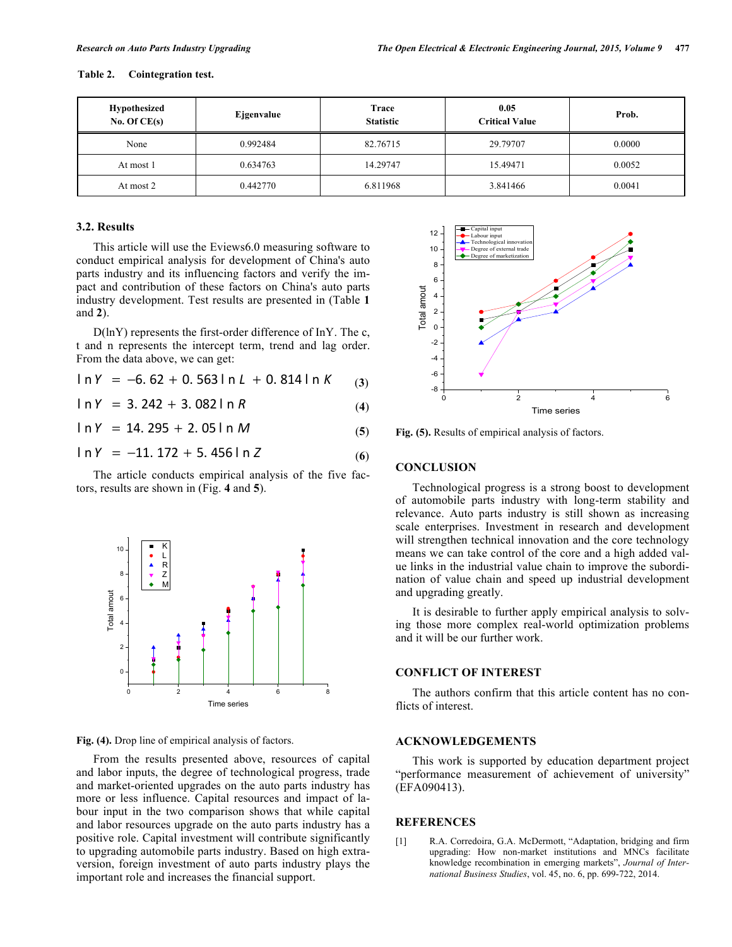| Hypothesized<br>No. Of $CE(s)$ | Ejgenvalue | Trace<br><b>Statistic</b> | 0.05<br><b>Critical Value</b> | Prob.  |
|--------------------------------|------------|---------------------------|-------------------------------|--------|
| None                           | 0.992484   | 82.76715                  | 29.79707                      | 0.0000 |
| At most 1                      | 0.634763   | 14.29747                  | 15.49471                      | 0.0052 |
| At most 2                      | 0.442770   | 6.811968                  | 3.841466                      | 0.0041 |

#### **3.2. Results**

This article will use the Eviews6.0 measuring software to conduct empirical analysis for development of China's auto parts industry and its influencing factors and verify the impact and contribution of these factors on China's auto parts industry development. Test results are presented in (Table **1** and **2**).

D(lnY) represents the first-order difference of InY. The c, t and n represents the intercept term, trend and lag order. From the data above, we can get:

 $\ln Y = -6.62 + 0.563 \ln L + 0.814 \ln K$  (3)

 $\ln Y = 3.242 + 3.082 \ln R$  (4)

 $\ln Y = 14.295 + 2.05 \ln M$  (5)

$$
ln Y = -11.172 + 5.456ln Z
$$
 (6)

The article conducts empirical analysis of the five factors, results are shown in (Fig. **4** and **5**).



**Fig. (4).** Drop line of empirical analysis of factors.

From the results presented above, resources of capital and labor inputs, the degree of technological progress, trade and market-oriented upgrades on the auto parts industry has more or less influence. Capital resources and impact of labour input in the two comparison shows that while capital and labor resources upgrade on the auto parts industry has a positive role. Capital investment will contribute significantly to upgrading automobile parts industry. Based on high extraversion, foreign investment of auto parts industry plays the important role and increases the financial support.



**Fig. (5).** Results of empirical analysis of factors.

#### **CONCLUSION**

Technological progress is a strong boost to development of automobile parts industry with long-term stability and relevance. Auto parts industry is still shown as increasing scale enterprises. Investment in research and development will strengthen technical innovation and the core technology means we can take control of the core and a high added value links in the industrial value chain to improve the subordination of value chain and speed up industrial development and upgrading greatly.

It is desirable to further apply empirical analysis to solving those more complex real-world optimization problems and it will be our further work.

# **CONFLICT OF INTEREST**

The authors confirm that this article content has no conflicts of interest.

#### **ACKNOWLEDGEMENTS**

This work is supported by education department project "performance measurement of achievement of university" (EFA090413).

#### **REFERENCES**

[1] R.A. Corredoira, G.A. McDermott, "Adaptation, bridging and firm upgrading: How non-market institutions and MNCs facilitate knowledge recombination in emerging markets", *Journal of International Business Studies*, vol. 45, no. 6, pp. 699-722, 2014.